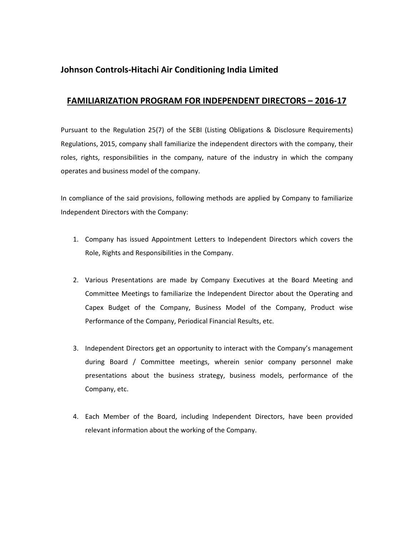## **Johnson Controls-Hitachi Air Conditioning India Limited**

## **FAMILIARIZATION PROGRAM FOR INDEPENDENT DIRECTORS – 2016-17**

Pursuant to the Regulation 25(7) of the SEBI (Listing Obligations & Disclosure Requirements) Regulations, 2015, company shall familiarize the independent directors with the company, their roles, rights, responsibilities in the company, nature of the industry in which the company operates and business model of the company.

In compliance of the said provisions, following methods are applied by Company to familiarize Independent Directors with the Company:

- 1. Company has issued Appointment Letters to Independent Directors which covers the Role, Rights and Responsibilities in the Company.
- 2. Various Presentations are made by Company Executives at the Board Meeting and Committee Meetings to familiarize the Independent Director about the Operating and Capex Budget of the Company, Business Model of the Company, Product wise Performance of the Company, Periodical Financial Results, etc.
- 3. Independent Directors get an opportunity to interact with the Company's management during Board / Committee meetings, wherein senior company personnel make presentations about the business strategy, business models, performance of the Company, etc.
- 4. Each Member of the Board, including Independent Directors, have been provided relevant information about the working of the Company.